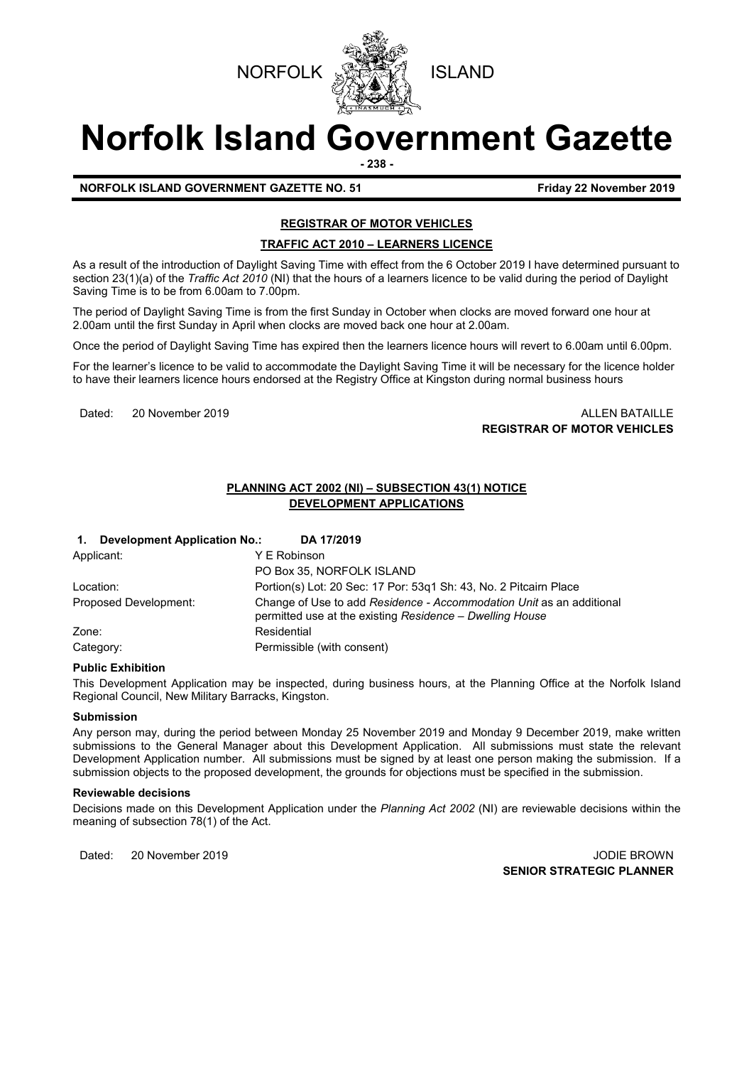



# **Norfolk Island Government Gazette**

**- 238 -**

**NORFOLK ISLAND GOVERNMENT GAZETTE NO. 51 FIGULARY 12 November 2019** 

# **REGISTRAR OF MOTOR VEHICLES**

# **TRAFFIC ACT 2010 – LEARNERS LICENCE**

As a result of the introduction of Daylight Saving Time with effect from the 6 October 2019 I have determined pursuant to section 23(1)(a) of the *Traffic Act 2010* (NI) that the hours of a learners licence to be valid during the period of Daylight Saving Time is to be from 6.00am to 7.00pm.

The period of Daylight Saving Time is from the first Sunday in October when clocks are moved forward one hour at 2.00am until the first Sunday in April when clocks are moved back one hour at 2.00am.

Once the period of Daylight Saving Time has expired then the learners licence hours will revert to 6.00am until 6.00pm.

For the learner's licence to be valid to accommodate the Daylight Saving Time it will be necessary for the licence holder to have their learners licence hours endorsed at the Registry Office at Kingston during normal business hours

Dated: 20 November 2019 20 November 2019 **REGISTRAR OF MOTOR VEHICLES**

# **PLANNING ACT 2002 (NI) – SUBSECTION 43(1) NOTICE DEVELOPMENT APPLICATIONS**

| <b>Development Application No.:</b><br>DA 17/2019<br>$\mathbf{1}$ . |                                                                                                                                  |
|---------------------------------------------------------------------|----------------------------------------------------------------------------------------------------------------------------------|
| Applicant:                                                          | Y E Robinson                                                                                                                     |
|                                                                     | PO Box 35, NORFOLK ISLAND                                                                                                        |
| Location:                                                           | Portion(s) Lot: 20 Sec: 17 Por: 53g1 Sh: 43, No. 2 Pitcairn Place                                                                |
| Proposed Development:                                               | Change of Use to add Residence - Accommodation Unit as an additional<br>permitted use at the existing Residence - Dwelling House |
| Zone:                                                               | Residential                                                                                                                      |
| Category:                                                           | Permissible (with consent)                                                                                                       |

#### **Public Exhibition**

This Development Application may be inspected, during business hours, at the Planning Office at the Norfolk Island Regional Council, New Military Barracks, Kingston.

#### **Submission**

Any person may, during the period between Monday 25 November 2019 and Monday 9 December 2019, make written submissions to the General Manager about this Development Application. All submissions must state the relevant Development Application number. All submissions must be signed by at least one person making the submission. If a submission objects to the proposed development, the grounds for objections must be specified in the submission.

#### **Reviewable decisions**

Decisions made on this Development Application under the *Planning Act 2002* (NI) are reviewable decisions within the meaning of subsection 78(1) of the Act.

Dated: 20 November 2019 JODIE BROWN **SENIOR STRATEGIC PLANNER**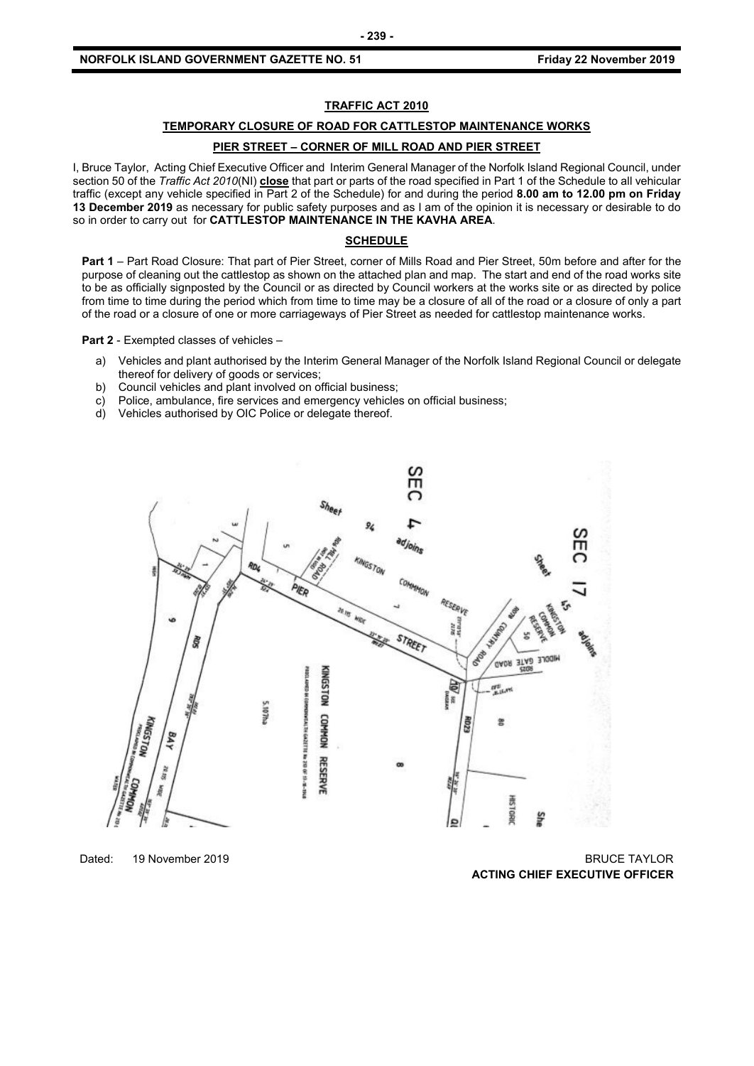### **TRAFFIC ACT 2010**

#### **TEMPORARY CLOSURE OF ROAD FOR CATTLESTOP MAINTENANCE WORKS**

### **PIER STREET – CORNER OF MILL ROAD AND PIER STREET**

I, Bruce Taylor, Acting Chief Executive Officer and Interim General Manager of the Norfolk Island Regional Council, under section 50 of the *Traffic Act 2010*(NI) **close** that part or parts of the road specified in Part 1 of the Schedule to all vehicular traffic (except any vehicle specified in Part 2 of the Schedule) for and during the period **8.00 am to 12.00 pm on Friday 13 December 2019** as necessary for public safety purposes and as I am of the opinion it is necessary or desirable to do so in order to carry out for **CATTLESTOP MAINTENANCE IN THE KAVHA AREA**.

#### **SCHEDULE**

**Part 1** – Part Road Closure: That part of Pier Street, corner of Mills Road and Pier Street, 50m before and after for the purpose of cleaning out the cattlestop as shown on the attached plan and map. The start and end of the road works site to be as officially signposted by the Council or as directed by Council workers at the works site or as directed by police from time to time during the period which from time to time may be a closure of all of the road or a closure of only a part of the road or a closure of one or more carriageways of Pier Street as needed for cattlestop maintenance works.

**Part 2** - Exempted classes of vehicles –

- a) Vehicles and plant authorised by the Interim General Manager of the Norfolk Island Regional Council or delegate thereof for delivery of goods or services;
- b) Council vehicles and plant involved on official business;
- c) Police, ambulance, fire services and emergency vehicles on official business;
- d) Vehicles authorised by OIC Police or delegate thereof.



Dated: 19 November 2019 BRUCE TAYLOR **ACTING CHIEF EXECUTIVE OFFICER**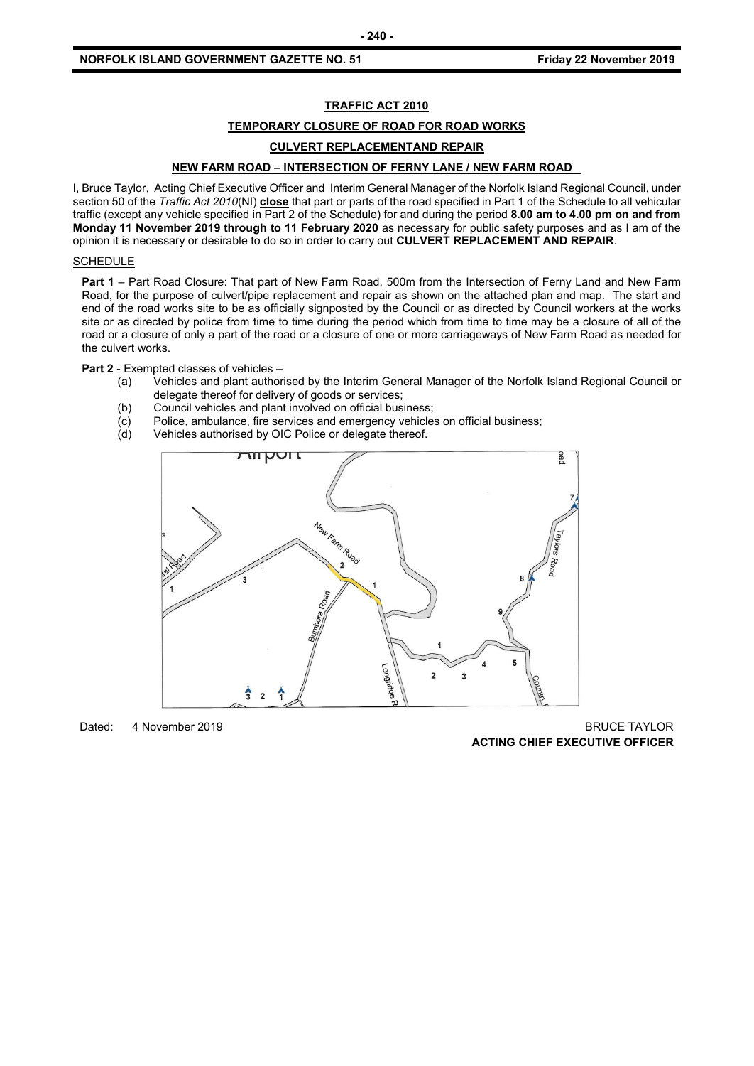## **TRAFFIC ACT 2010**

#### **TEMPORARY CLOSURE OF ROAD FOR ROAD WORKS**

# **CULVERT REPLACEMENTAND REPAIR**

# **NEW FARM ROAD – INTERSECTION OF FERNY LANE / NEW FARM ROAD**

I, Bruce Taylor, Acting Chief Executive Officer and Interim General Manager of the Norfolk Island Regional Council, under section 50 of the *Traffic Act 2010*(NI) **close** that part or parts of the road specified in Part 1 of the Schedule to all vehicular traffic (except any vehicle specified in Part 2 of the Schedule) for and during the period **8.00 am to 4.00 pm on and from Monday 11 November 2019 through to 11 February 2020** as necessary for public safety purposes and as I am of the opinion it is necessary or desirable to do so in order to carry out **CULVERT REPLACEMENT AND REPAIR**.

#### **SCHEDULE**

**Part 1** – Part Road Closure: That part of New Farm Road, 500m from the Intersection of Ferny Land and New Farm Road, for the purpose of culvert/pipe replacement and repair as shown on the attached plan and map. The start and end of the road works site to be as officially signposted by the Council or as directed by Council workers at the works site or as directed by police from time to time during the period which from time to time may be a closure of all of the road or a closure of only a part of the road or a closure of one or more carriageways of New Farm Road as needed for the culvert works.

**Part 2** - Exempted classes of vehicles –

- (a) Vehicles and plant authorised by the Interim General Manager of the Norfolk Island Regional Council or delegate thereof for delivery of goods or services;
- (b) Council vehicles and plant involved on official business;
- (c) Police, ambulance, fire services and emergency vehicles on official business;
- (d) Vehicles authorised by OIC Police or delegate thereof.



Dated: 4 November 2019 BRUCE TAYLOR **ACTING CHIEF EXECUTIVE OFFICER**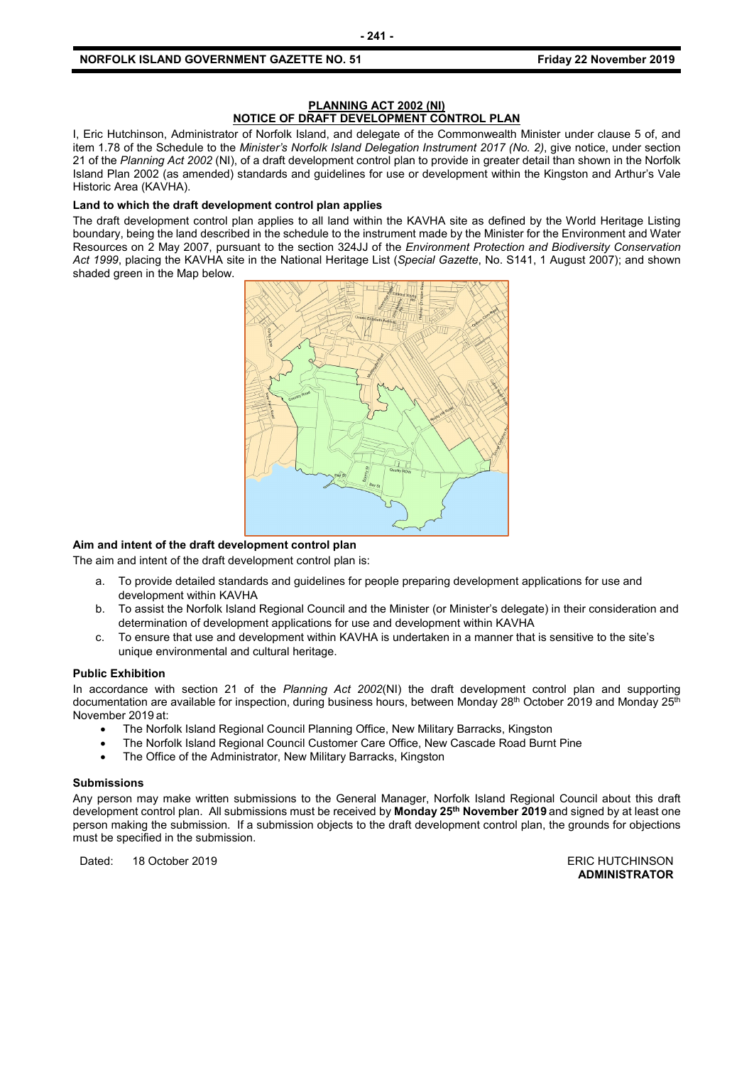#### **PLANNING ACT 2002 (NI) NOTICE OF DRAFT DEVELOPMENT CONTROL PLAN**

I, Eric Hutchinson, Administrator of Norfolk Island, and delegate of the Commonwealth Minister under clause 5 of, and item 1.78 of the Schedule to the *Minister's Norfolk Island Delegation Instrument 2017 (No. 2)*, give notice, under section 21 of the *Planning Act 2002* (NI), of a draft development control plan to provide in greater detail than shown in the Norfolk Island Plan 2002 (as amended) standards and guidelines for use or development within the Kingston and Arthur's Vale Historic Area (KAVHA).

#### **Land to which the draft development control plan applies**

The draft development control plan applies to all land within the KAVHA site as defined by the World Heritage Listing boundary, being the land described in the schedule to the instrument made by the Minister for the Environment and Water Resources on 2 May 2007, pursuant to the section 324JJ of the *Environment Protection and Biodiversity Conservation Act 1999*, placing the KAVHA site in the National Heritage List (*Special Gazette*, No. S141, 1 August 2007); and shown shaded green in the Map below.



#### **Aim and intent of the draft development control plan**

The aim and intent of the draft development control plan is:

- a. To provide detailed standards and guidelines for people preparing development applications for use and development within KAVHA
- b. To assist the Norfolk Island Regional Council and the Minister (or Minister's delegate) in their consideration and determination of development applications for use and development within KAVHA
- c. To ensure that use and development within KAVHA is undertaken in a manner that is sensitive to the site's unique environmental and cultural heritage.

#### **Public Exhibition**

In accordance with section 21 of the *Planning Act 2002*(NI) the draft development control plan and supporting documentation are available for inspection, during business hours, between Monday 28<sup>th</sup> October 2019 and Monday 25<sup>th</sup> November 2019 at:

- The Norfolk Island Regional Council Planning Office, New Military Barracks, Kingston
- The Norfolk Island Regional Council Customer Care Office, New Cascade Road Burnt Pine
- The Office of the Administrator, New Military Barracks, Kingston

#### **Submissions**

Any person may make written submissions to the General Manager, Norfolk Island Regional Council about this draft development control plan. All submissions must be received by **Monday 25th November 2019** and signed by at least one person making the submission. If a submission objects to the draft development control plan, the grounds for objections must be specified in the submission.

Dated: 18 October 2019 **ERIC HUTCHINSON** 

**ADMINISTRATOR**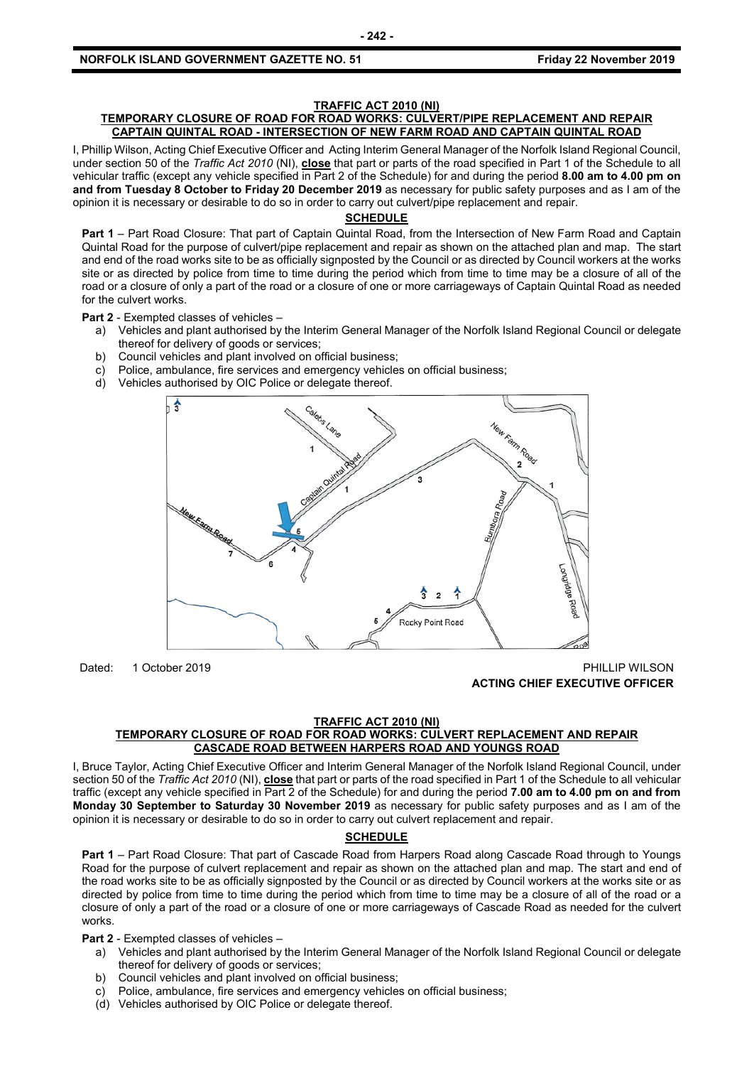# **TRAFFIC ACT 2010 (NI)**

## **TEMPORARY CLOSURE OF ROAD FOR ROAD WORKS: CULVERT/PIPE REPLACEMENT AND REPAIR CAPTAIN QUINTAL ROAD - INTERSECTION OF NEW FARM ROAD AND CAPTAIN QUINTAL ROAD**

I, Phillip Wilson, Acting Chief Executive Officer and Acting Interim General Manager of the Norfolk Island Regional Council, under section 50 of the *Traffic Act 2010* (NI), **close** that part or parts of the road specified in Part 1 of the Schedule to all vehicular traffic (except any vehicle specified in Part 2 of the Schedule) for and during the period **8.00 am to 4.00 pm on and from Tuesday 8 October to Friday 20 December 2019** as necessary for public safety purposes and as I am of the opinion it is necessary or desirable to do so in order to carry out culvert/pipe replacement and repair.

# **SCHEDULE**

**Part 1** – Part Road Closure: That part of Captain Quintal Road, from the Intersection of New Farm Road and Captain Quintal Road for the purpose of culvert/pipe replacement and repair as shown on the attached plan and map. The start and end of the road works site to be as officially signposted by the Council or as directed by Council workers at the works site or as directed by police from time to time during the period which from time to time may be a closure of all of the road or a closure of only a part of the road or a closure of one or more carriageways of Captain Quintal Road as needed for the culvert works.

**Part 2** - Exempted classes of vehicles –

- a) Vehicles and plant authorised by the Interim General Manager of the Norfolk Island Regional Council or delegate thereof for delivery of goods or services;
- b) Council vehicles and plant involved on official business;
- c) Police, ambulance, fire services and emergency vehicles on official business;
- d) Vehicles authorised by OIC Police or delegate thereof.



Dated: 1 October 2019 **PHILLIP WILSON ACTING CHIEF EXECUTIVE OFFICER**

#### **TRAFFIC ACT 2010 (NI) TEMPORARY CLOSURE OF ROAD FOR ROAD WORKS: CULVERT REPLACEMENT AND REPAIR CASCADE ROAD BETWEEN HARPERS ROAD AND YOUNGS ROAD**

I, Bruce Taylor, Acting Chief Executive Officer and Interim General Manager of the Norfolk Island Regional Council, under section 50 of the *Traffic Act 2010* (NI), **close** that part or parts of the road specified in Part 1 of the Schedule to all vehicular traffic (except any vehicle specified in Part 2 of the Schedule) for and during the period **7.00 am to 4.00 pm on and from Monday 30 September to Saturday 30 November 2019** as necessary for public safety purposes and as I am of the opinion it is necessary or desirable to do so in order to carry out culvert replacement and repair.

#### **SCHEDULE**

**Part 1** – Part Road Closure: That part of Cascade Road from Harpers Road along Cascade Road through to Youngs Road for the purpose of culvert replacement and repair as shown on the attached plan and map. The start and end of the road works site to be as officially signposted by the Council or as directed by Council workers at the works site or as directed by police from time to time during the period which from time to time may be a closure of all of the road or a closure of only a part of the road or a closure of one or more carriageways of Cascade Road as needed for the culvert works.

**Part 2** - Exempted classes of vehicles –

- a) Vehicles and plant authorised by the Interim General Manager of the Norfolk Island Regional Council or delegate thereof for delivery of goods or services;
- b) Council vehicles and plant involved on official business;
- c) Police, ambulance, fire services and emergency vehicles on official business;
- (d) Vehicles authorised by OIC Police or delegate thereof.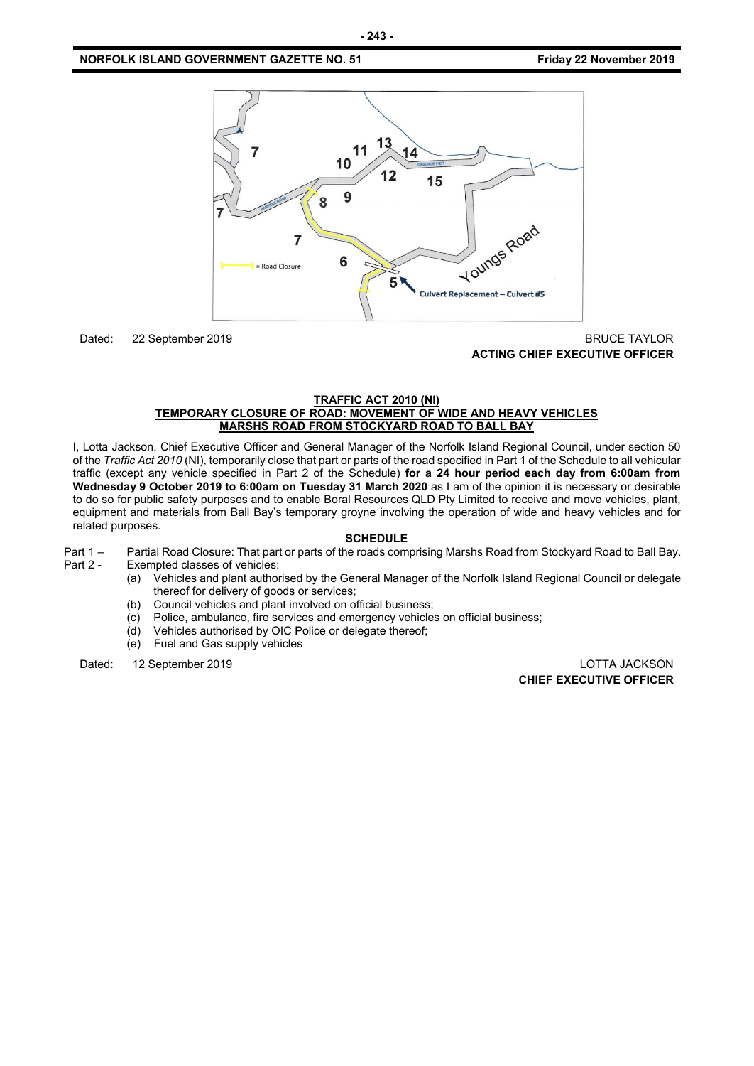

# Dated: 22 September 2019 BRUCE TAYLOR **ACTING CHIEF EXECUTIVE OFFICER**

#### **TRAFFIC ACT 2010 (NI) TEMPORARY CLOSURE OF ROAD: MOVEMENT OF WIDE AND HEAVY VEHICLES MARSHS ROAD FROM STOCKYARD ROAD TO BALL BAY**

I, Lotta Jackson, Chief Executive Officer and General Manager of the Norfolk Island Regional Council, under section 50 of the *Traffic Act 2010* (NI), temporarily close that part or parts of the road specified in Part 1 of the Schedule to all vehicular traffic (except any vehicle specified in Part 2 of the Schedule) **for a 24 hour period each day from 6:00am from Wednesday 9 October 2019 to 6:00am on Tuesday 31 March 2020** as I am of the opinion it is necessary or desirable to do so for public safety purposes and to enable Boral Resources QLD Pty Limited to receive and move vehicles, plant, equipment and materials from Ball Bay's temporary groyne involving the operation of wide and heavy vehicles and for related purposes.

#### **SCHEDULE**

- Part 1 Partial Road Closure: That part or parts of the roads comprising Marshs Road from Stockyard Road to Ball Bay.<br>Part 2 Exempted classes of vehicles: Exempted classes of vehicles:
	- (a) Vehicles and plant authorised by the General Manager of the Norfolk Island Regional Council or delegate thereof for delivery of goods or services;
	- (b) Council vehicles and plant involved on official business;
	- (c) Police, ambulance, fire services and emergency vehicles on official business;
	- (d) Vehicles authorised by OIC Police or delegate thereof;
	- (e) Fuel and Gas supply vehicles

Dated: 12 September 2019 LOTTA JACKSON

**CHIEF EXECUTIVE OFFICER**